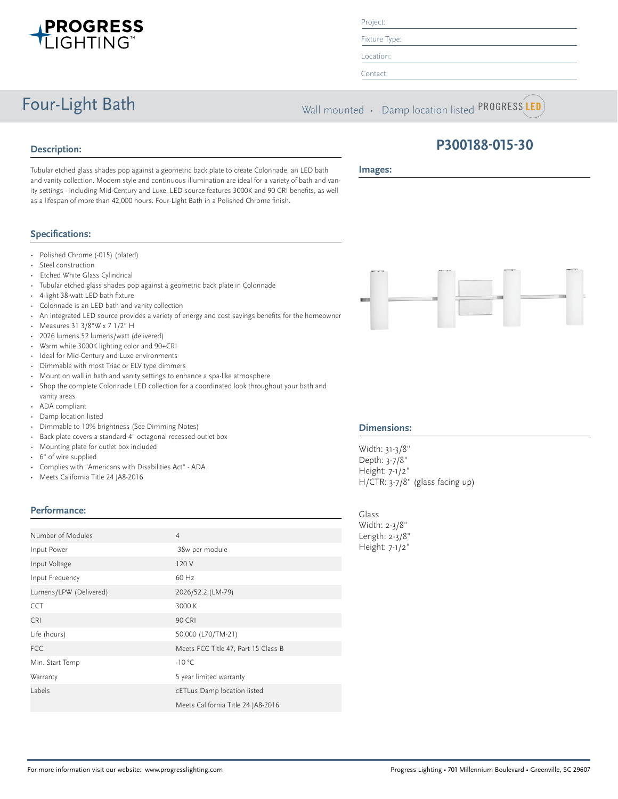

### Project:

Fixture Type:

Location:

Contact:

**Images:**

Four-Light Bath Wall mounted • Damp location listed PROGRESS LED

# **Description:**

**P300188-015-30**

Tubular etched glass shades pop against a geometric back plate to create Colonnade, an LED bath and vanity collection. Modern style and continuous illumination are ideal for a variety of bath and vanity settings - including Mid-Century and Luxe. LED source features 3000K and 90 CRI benefits, as well as a lifespan of more than 42,000 hours. Four-Light Bath in a Polished Chrome finish.

# **Specifications:**

- Polished Chrome (-015) (plated)
- Steel construction
- Etched White Glass Cylindrical
- Tubular etched glass shades pop against a geometric back plate in Colonnade
- 4-light 38-watt LED bath fixture
- Colonnade is an LED bath and vanity collection
- An integrated LED source provides a variety of energy and cost savings benefits for the homeowner
- Measures 31 3/8"W x 7 1/2" H
- 2026 lumens 52 lumens/watt (delivered)
- Warm white 3000K lighting color and 90+CRI
- Ideal for Mid-Century and Luxe environments
- Dimmable with most Triac or ELV type dimmers
- Mount on wall in bath and vanity settings to enhance a spa-like atmosphere
- Shop the complete Colonnade LED collection for a coordinated look throughout your bath and vanity areas
- ADA compliant
- Damp location listed
- Dimmable to 10% brightness (See Dimming Notes)
- Back plate covers a standard 4" octagonal recessed outlet box
- Mounting plate for outlet box included
- 6" of wire supplied
- Complies with "Americans with Disabilities Act" ADA
- Meets California Title 24 JA8-2016

# **Performance:**

| Number of Modules      | $\overline{4}$                      |
|------------------------|-------------------------------------|
| Input Power            | 38w per module                      |
| Input Voltage          | 120 V                               |
| Input Frequency        | 60 Hz                               |
| Lumens/LPW (Delivered) | 2026/52.2 (LM-79)                   |
| <b>CCT</b>             | 3000 K                              |
| <b>CRI</b>             | <b>90 CRI</b>                       |
| Life (hours)           | 50,000 (L70/TM-21)                  |
| <b>FCC</b>             | Meets FCC Title 47, Part 15 Class B |
| Min. Start Temp        | $-10 °C$                            |
| Warranty               | 5 year limited warranty             |
| Labels                 | cETLus Damp location listed         |
|                        | Meets California Title 24 JA8-2016  |



#### **Dimensions:**

Width: 31-3/8" Depth: 3-7/8" Height: 7-1/2" H/CTR: 3-7/8" (glass facing up)

Glass Width: 2-3/8" Length: 2-3/8" Height: 7-1/2"